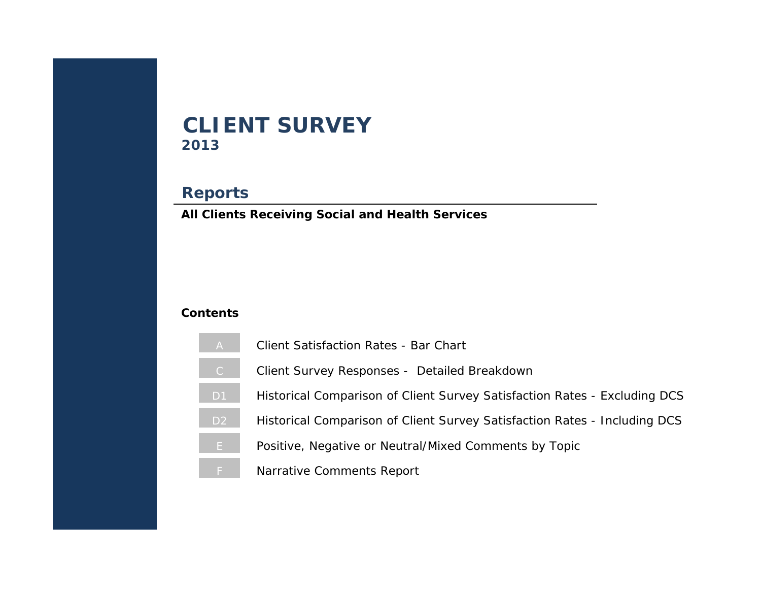# **2013 CLIENT SURVEY**

# **Reports**

**All Clients Receiving Social and Health Services**

# **Contents**

- [A](#page-1-0) Client Satisfaction Rates Bar Chart
- [C](#page-2-0) Client Survey Responses Detailed Breakdown
- D1 Historical Comparison of Client Survey Satisfaction Rates Excluding DCS
- D<sub>2</sub> Historical Comparison of Client Survey Satisfaction Rates Including DCS
- [E](#page-5-0) Positive, Negative or Neutral/Mixed Comments by Topic
- Narrative Comments Report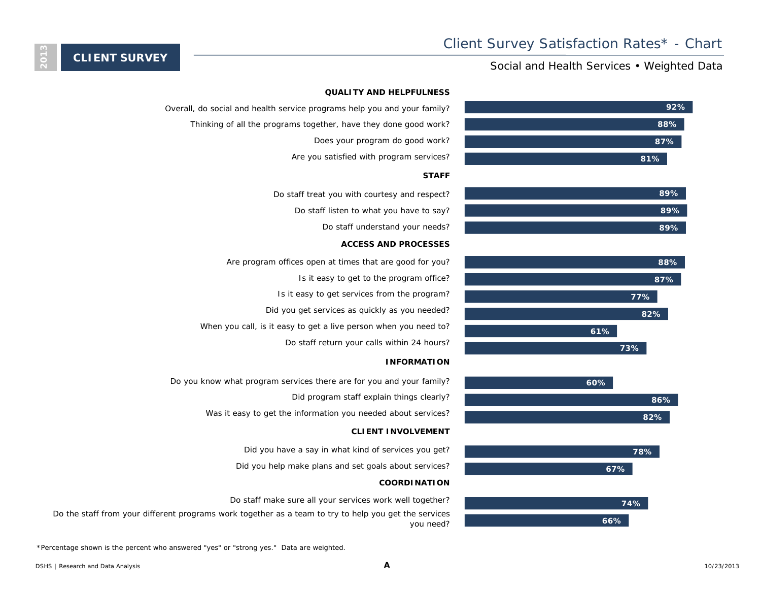### Social and Health Services • Weighted Data



#### **QUALITY AND HELPFULNESS**

- Overall, do social and health service programs help you and your family?
	- Thinking of all the programs together, have they done good work?
		- Does your program do good work?
		- Are you satisfied with program services?

#### **STAFF**

- Do staff treat you with courtesy and respect?
	- Do staff listen to what you have to say?
		- Do staff understand your needs?

#### **ACCESS AND PROCESSES**

- Are program offices open at times that are good for you?
	- Is it easy to get to the program office?
	- Is it easy to get services from the program?
	- Did you get services as quickly as you needed?
- When you call, is it easy to get a live person when you need to?
	- Do staff return your calls within 24 hours?

#### **INFORMATION**

- Do you know what program services there are for you and your family?
	- Did program staff explain things clearly?
	- Was it easy to get the information you needed about services?

#### **CLIENT INVOLVEMENT**

- Did you have a say in what kind of services you get?
- Did you help make plans and set goals about services?

#### **COORDINATION**

- Do staff make sure all your services work well together?
- Do the staff from your different programs work together as a team to try to help you get the services you need?

\*Percentage shown is the percent who answered "yes" or "strong yes." Data are weighted.

<span id="page-1-0"></span>**CLIENT SURVEY**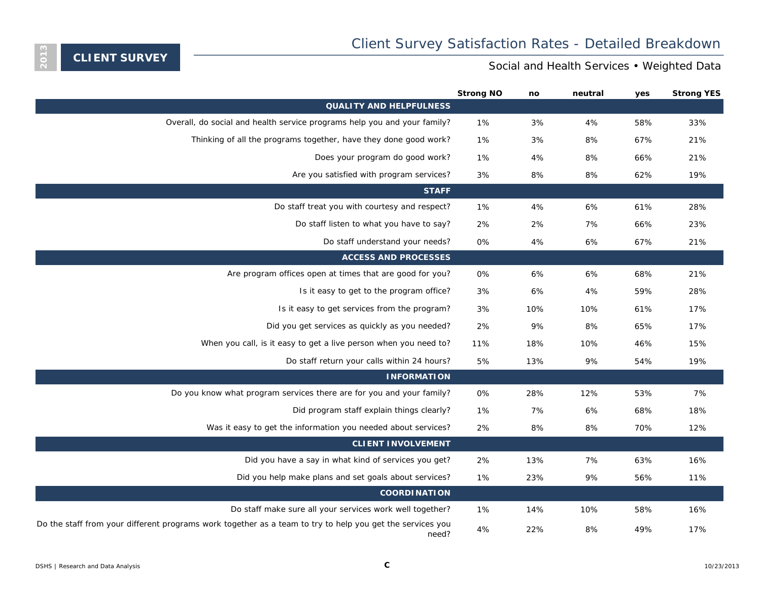<span id="page-2-0"></span>

|                                                                                                                    | <b>Strong NO</b> | no  | neutral | yes | <b>Strong YES</b> |
|--------------------------------------------------------------------------------------------------------------------|------------------|-----|---------|-----|-------------------|
| <b>QUALITY AND HELPFULNESS</b>                                                                                     |                  |     |         |     |                   |
| Overall, do social and health service programs help you and your family?                                           | 1%               | 3%  | 4%      | 58% | 33%               |
| Thinking of all the programs together, have they done good work?                                                   | 1%               | 3%  | 8%      | 67% | 21%               |
| Does your program do good work?                                                                                    | 1%               | 4%  | 8%      | 66% | 21%               |
| Are you satisfied with program services?                                                                           | 3%               | 8%  | 8%      | 62% | 19%               |
| <b>STAFF</b>                                                                                                       |                  |     |         |     |                   |
| Do staff treat you with courtesy and respect?                                                                      | 1%               | 4%  | 6%      | 61% | 28%               |
| Do staff listen to what you have to say?                                                                           | 2%               | 2%  | 7%      | 66% | 23%               |
| Do staff understand your needs?                                                                                    | 0%               | 4%  | 6%      | 67% | 21%               |
| <b>ACCESS AND PROCESSES</b>                                                                                        |                  |     |         |     |                   |
| Are program offices open at times that are good for you?                                                           | 0%               | 6%  | 6%      | 68% | 21%               |
| Is it easy to get to the program office?                                                                           | 3%               | 6%  | 4%      | 59% | 28%               |
| Is it easy to get services from the program?                                                                       | 3%               | 10% | 10%     | 61% | 17%               |
| Did you get services as quickly as you needed?                                                                     | 2%               | 9%  | 8%      | 65% | 17%               |
| When you call, is it easy to get a live person when you need to?                                                   | 11%              | 18% | 10%     | 46% | 15%               |
| Do staff return your calls within 24 hours?                                                                        | 5%               | 13% | 9%      | 54% | 19%               |
| <b>INFORMATION</b>                                                                                                 |                  |     |         |     |                   |
| Do you know what program services there are for you and your family?                                               | 0%               | 28% | 12%     | 53% | 7%                |
| Did program staff explain things clearly?                                                                          | 1%               | 7%  | 6%      | 68% | 18%               |
| Was it easy to get the information you needed about services?                                                      | 2%               | 8%  | 8%      | 70% | 12%               |
| <b>CLIENT INVOLVEMENT</b>                                                                                          |                  |     |         |     |                   |
| Did you have a say in what kind of services you get?                                                               | 2%               | 13% | 7%      | 63% | 16%               |
| Did you help make plans and set goals about services?                                                              | 1%               | 23% | 9%      | 56% | 11%               |
| <b>COORDINATION</b>                                                                                                |                  |     |         |     |                   |
| Do staff make sure all your services work well together?                                                           | 1%               | 14% | 10%     | 58% | 16%               |
| Do the staff from your different programs work together as a team to try to help you get the services you<br>need? | 4%               | 22% | 8%      | 49% | 17%               |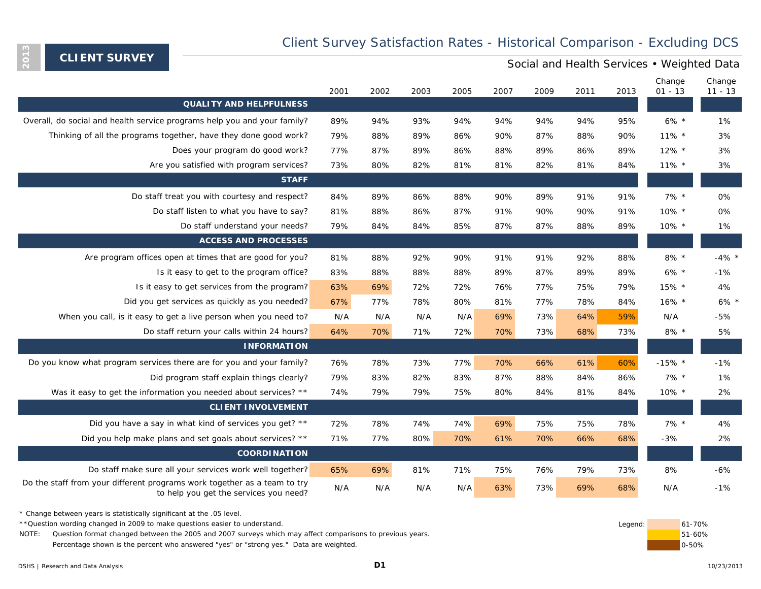## Client Survey Satisfaction Rates - Historical Comparison - Excluding DCS

**CLIENT SURVEY**

<span id="page-3-0"></span>**2013**

### Social and Health Services • Weighted Data

|                                                                                                                    | 2001 | 2002 | 2003 | 2005 | 2007 | 2009 | 2011 | 2013 | Change<br>$01 - 13$ | Change<br>$11 - 13$ |
|--------------------------------------------------------------------------------------------------------------------|------|------|------|------|------|------|------|------|---------------------|---------------------|
| <b>QUALITY AND HELPFULNESS</b>                                                                                     |      |      |      |      |      |      |      |      |                     |                     |
| Overall, do social and health service programs help you and your family?                                           | 89%  | 94%  | 93%  | 94%  | 94%  | 94%  | 94%  | 95%  | $6\% *$             | 1%                  |
| Thinking of all the programs together, have they done good work?                                                   | 79%  | 88%  | 89%  | 86%  | 90%  | 87%  | 88%  | 90%  | $11\%$ *            | 3%                  |
| Does your program do good work?                                                                                    | 77%  | 87%  | 89%  | 86%  | 88%  | 89%  | 86%  | 89%  | $12\%$ *            | 3%                  |
| Are you satisfied with program services?                                                                           | 73%  | 80%  | 82%  | 81%  | 81%  | 82%  | 81%  | 84%  | $11\%$ *            | 3%                  |
| <b>STAFF</b>                                                                                                       |      |      |      |      |      |      |      |      |                     |                     |
| Do staff treat you with courtesy and respect?                                                                      | 84%  | 89%  | 86%  | 88%  | 90%  | 89%  | 91%  | 91%  | $7\%$ *             | 0%                  |
| Do staff listen to what you have to say?                                                                           | 81%  | 88%  | 86%  | 87%  | 91%  | 90%  | 90%  | 91%  | 10% *               | 0%                  |
| Do staff understand your needs?                                                                                    | 79%  | 84%  | 84%  | 85%  | 87%  | 87%  | 88%  | 89%  | $10\%$ *            | 1%                  |
| <b>ACCESS AND PROCESSES</b>                                                                                        |      |      |      |      |      |      |      |      |                     |                     |
| Are program offices open at times that are good for you?                                                           | 81%  | 88%  | 92%  | 90%  | 91%  | 91%  | 92%  | 88%  | $8\%$ *             | $-4\%$ *            |
| Is it easy to get to the program office?                                                                           | 83%  | 88%  | 88%  | 88%  | 89%  | 87%  | 89%  | 89%  | $6\% *$             | $-1%$               |
| Is it easy to get services from the program?                                                                       | 63%  | 69%  | 72%  | 72%  | 76%  | 77%  | 75%  | 79%  | 15% *               | 4%                  |
| Did you get services as quickly as you needed?                                                                     | 67%  | 77%  | 78%  | 80%  | 81%  | 77%  | 78%  | 84%  | 16% *               | $6\%$ *             |
| When you call, is it easy to get a live person when you need to?                                                   | N/A  | N/A  | N/A  | N/A  | 69%  | 73%  | 64%  | 59%  | N/A                 | $-5%$               |
| Do staff return your calls within 24 hours?                                                                        | 64%  | 70%  | 71%  | 72%  | 70%  | 73%  | 68%  | 73%  | $8\%$ *             | 5%                  |
| <b>INFORMATION</b>                                                                                                 |      |      |      |      |      |      |      |      |                     |                     |
| Do you know what program services there are for you and your family?                                               | 76%  | 78%  | 73%  | 77%  | 70%  | 66%  | 61%  | 60%  | $-15\%$ *           | $-1%$               |
| Did program staff explain things clearly?                                                                          | 79%  | 83%  | 82%  | 83%  | 87%  | 88%  | 84%  | 86%  | $7\%$ *             | 1%                  |
| Was it easy to get the information you needed about services? **                                                   | 74%  | 79%  | 79%  | 75%  | 80%  | 84%  | 81%  | 84%  | 10% *               | 2%                  |
| <b>CLIENT INVOLVEMENT</b>                                                                                          |      |      |      |      |      |      |      |      |                     |                     |
| Did you have a say in what kind of services you get? **                                                            | 72%  | 78%  | 74%  | 74%  | 69%  | 75%  | 75%  | 78%  | $7\%$ *             | 4%                  |
| Did you help make plans and set goals about services? **                                                           | 71%  | 77%  | 80%  | 70%  | 61%  | 70%  | 66%  | 68%  | $-3%$               | 2%                  |
| <b>COORDINATION</b>                                                                                                |      |      |      |      |      |      |      |      |                     |                     |
| Do staff make sure all your services work well together?                                                           | 65%  | 69%  | 81%  | 71%  | 75%  | 76%  | 79%  | 73%  | 8%                  | $-6%$               |
| Do the staff from your different programs work together as a team to try<br>to help you get the services you need? | N/A  | N/A  | N/A  | N/A  | 63%  | 73%  | 69%  | 68%  | N/A                 | $-1%$               |

\* Change between years is statistically significant at the .05 level.

\*\*Question wording changed in 2009 to make questions easier to understand. 
61-70%

NOTE: Question format changed between the 2005 and 2007 surveys which may affect comparisons to previous years. The comparisons to previous years. Percentage shown is the percent who answered "yes" or "strong yes." Data are weighted.

0-50%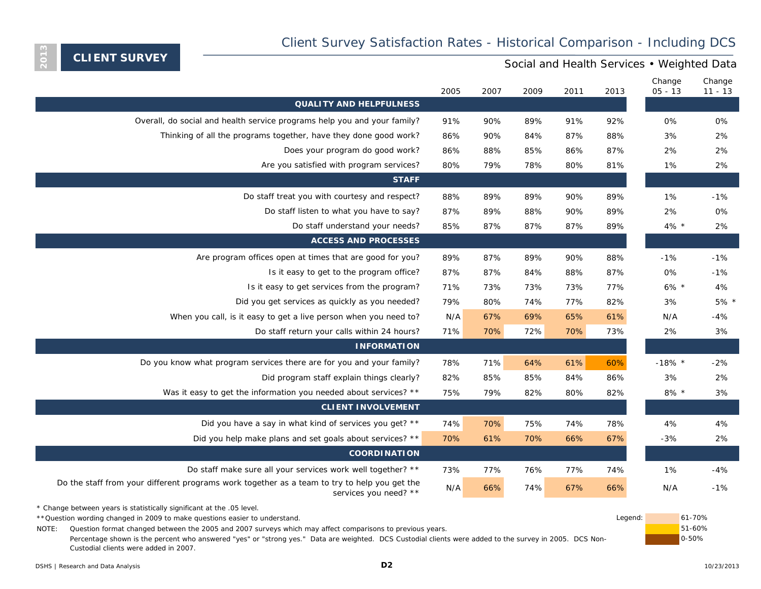# Client Survey Satisfaction Rates - Historical Comparison - Including DCS

**CLIENT SURVEY**

<span id="page-4-0"></span>**2013**

### Social and Health Services • Weighted Data

|                                                                                                                       | 2005 | 2007 | 2009 | 2011 | 2013 | Change<br>$05 - 13$ | Change<br>$11 - 13$ |
|-----------------------------------------------------------------------------------------------------------------------|------|------|------|------|------|---------------------|---------------------|
| <b>QUALITY AND HELPFULNESS</b>                                                                                        |      |      |      |      |      |                     |                     |
| Overall, do social and health service programs help you and your family?                                              | 91%  | 90%  | 89%  | 91%  | 92%  | 0%                  | 0%                  |
| Thinking of all the programs together, have they done good work?                                                      | 86%  | 90%  | 84%  | 87%  | 88%  | 3%                  | 2%                  |
| Does your program do good work?                                                                                       | 86%  | 88%  | 85%  | 86%  | 87%  | 2%                  | 2%                  |
| Are you satisfied with program services?                                                                              | 80%  | 79%  | 78%  | 80%  | 81%  | 1%                  | 2%                  |
| <b>STAFF</b>                                                                                                          |      |      |      |      |      |                     |                     |
| Do staff treat you with courtesy and respect?                                                                         | 88%  | 89%  | 89%  | 90%  | 89%  | 1%                  | $-1%$               |
| Do staff listen to what you have to say?                                                                              | 87%  | 89%  | 88%  | 90%  | 89%  | 2%                  | 0%                  |
| Do staff understand your needs?                                                                                       | 85%  | 87%  | 87%  | 87%  | 89%  | 4% *                | 2%                  |
| <b>ACCESS AND PROCESSES</b>                                                                                           |      |      |      |      |      |                     |                     |
| Are program offices open at times that are good for you?                                                              | 89%  | 87%  | 89%  | 90%  | 88%  | $-1%$               | $-1%$               |
| Is it easy to get to the program office?                                                                              | 87%  | 87%  | 84%  | 88%  | 87%  | 0%                  | $-1%$               |
| Is it easy to get services from the program?                                                                          | 71%  | 73%  | 73%  | 73%  | 77%  | $6\% *$             | 4%                  |
| Did you get services as quickly as you needed?                                                                        | 79%  | 80%  | 74%  | 77%  | 82%  | 3%                  | $5\%$ *             |
| When you call, is it easy to get a live person when you need to?                                                      | N/A  | 67%  | 69%  | 65%  | 61%  | N/A                 | $-4%$               |
| Do staff return your calls within 24 hours?                                                                           | 71%  | 70%  | 72%  | 70%  | 73%  | 2%                  | 3%                  |
| <b>INFORMATION</b>                                                                                                    |      |      |      |      |      |                     |                     |
| Do you know what program services there are for you and your family?                                                  | 78%  | 71%  | 64%  | 61%  | 60%  | $-18\%$ *           | $-2%$               |
| Did program staff explain things clearly?                                                                             | 82%  | 85%  | 85%  | 84%  | 86%  | 3%                  | 2%                  |
| Was it easy to get the information you needed about services? **                                                      | 75%  | 79%  | 82%  | 80%  | 82%  | $8\%$ *             | 3%                  |
| <b>CLIENT INVOLVEMENT</b>                                                                                             |      |      |      |      |      |                     |                     |
| Did you have a say in what kind of services you get? **                                                               | 74%  | 70%  | 75%  | 74%  | 78%  | 4%                  | 4%                  |
| Did you help make plans and set goals about services? **                                                              | 70%  | 61%  | 70%  | 66%  | 67%  | $-3%$               | 2%                  |
| <b>COORDINATION</b>                                                                                                   |      |      |      |      |      |                     |                     |
| Do staff make sure all your services work well together? **                                                           | 73%  | 77%  | 76%  | 77%  | 74%  | 1%                  | $-4%$               |
| Do the staff from your different programs work together as a team to try to help you get the<br>services you need? ** | N/A  | 66%  | 74%  | 67%  | 66%  | N/A                 | $-1%$               |
| * Change between years is statistically significant at the .05 level.                                                 |      |      |      |      |      |                     |                     |

\*\*Question wording changed in 2009 to make questions easier to understand. **Example 2018** 1999 to the state of the state of the state of the state of the state of the state of the state of the state of the state of the sta

NOTE: Question format changed between the 2005 and 2007 surveys which may affect comparisons to previous years. 
<br>
Only the contract of the contract of the COS and 2007 surveys which may affect comparisons to previous year

Percentage shown is the percent who answered "yes" or "strong yes." Data are weighted. DCS Custodial clients were added to the survey in 2005. DCS Non-Custodial clients were added in 2007.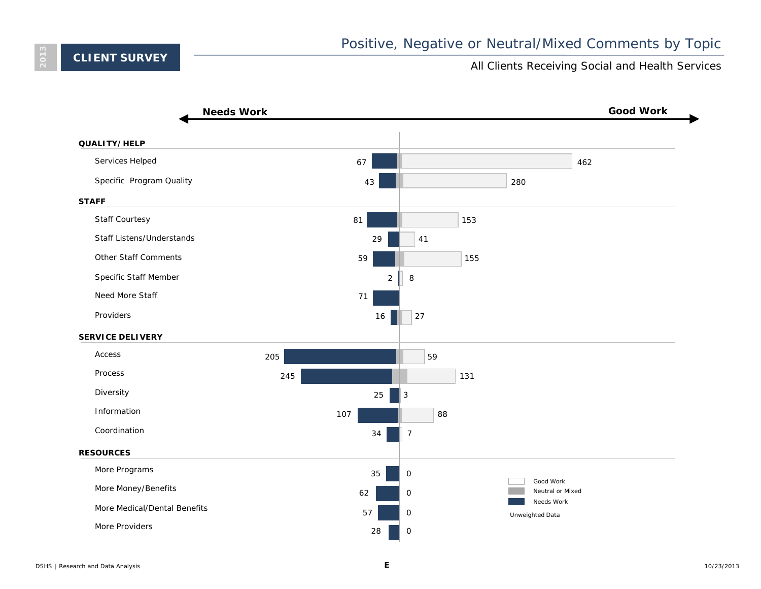<span id="page-5-0"></span>**2013**

### All Clients Receiving Social and Health Services